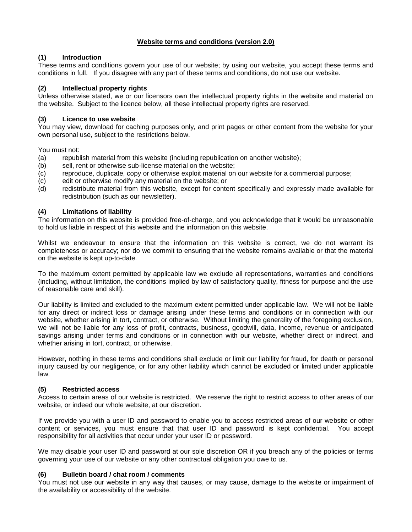## **Website terms and conditions (version 2.0)**

# **(1) Introduction**

These terms and conditions govern your use of our website; by using our website, you accept these terms and conditions in full. If you disagree with any part of these terms and conditions, do not use our website.

## **(2) Intellectual property rights**

Unless otherwise stated, we or our licensors own the intellectual property rights in the website and material on the website. Subject to the licence below, all these intellectual property rights are reserved.

## **(3) Licence to use website**

You may view, download for caching purposes only, and print pages or other content from the website for your own personal use, subject to the restrictions below.

You must not:

- (a) republish material from this website (including republication on another website);
- (b) sell, rent or otherwise sub-license material on the website;
- (c) reproduce, duplicate, copy or otherwise exploit material on our website for a commercial purpose;
- (c) edit or otherwise modify any material on the website; or
- (d) redistribute material from this website, except for content specifically and expressly made available for redistribution (such as our newsletter).

## **(4) Limitations of liability**

The information on this website is provided free-of-charge, and you acknowledge that it would be unreasonable to hold us liable in respect of this website and the information on this website.

Whilst we endeavour to ensure that the information on this website is correct, we do not warrant its completeness or accuracy; nor do we commit to ensuring that the website remains available or that the material on the website is kept up-to-date.

To the maximum extent permitted by applicable law we exclude all representations, warranties and conditions (including, without limitation, the conditions implied by law of satisfactory quality, fitness for purpose and the use of reasonable care and skill).

Our liability is limited and excluded to the maximum extent permitted under applicable law. We will not be liable for any direct or indirect loss or damage arising under these terms and conditions or in connection with our website, whether arising in tort, contract, or otherwise. Without limiting the generality of the foregoing exclusion, we will not be liable for any loss of profit, contracts, business, goodwill, data, income, revenue or anticipated savings arising under terms and conditions or in connection with our website, whether direct or indirect, and whether arising in tort, contract, or otherwise.

However, nothing in these terms and conditions shall exclude or limit our liability for fraud, for death or personal injury caused by our negligence, or for any other liability which cannot be excluded or limited under applicable law.

## **(5) Restricted access**

Access to certain areas of our website is restricted. We reserve the right to restrict access to other areas of our website, or indeed our whole website, at our discretion.

If we provide you with a user ID and password to enable you to access restricted areas of our website or other content or services, you must ensure that that user ID and password is kept confidential. You accept responsibility for all activities that occur under your user ID or password.

We may disable your user ID and password at our sole discretion OR if you breach any of the policies or terms governing your use of our website or any other contractual obligation you owe to us.

## **(6) Bulletin board / chat room / comments**

You must not use our website in any way that causes, or may cause, damage to the website or impairment of the availability or accessibility of the website.